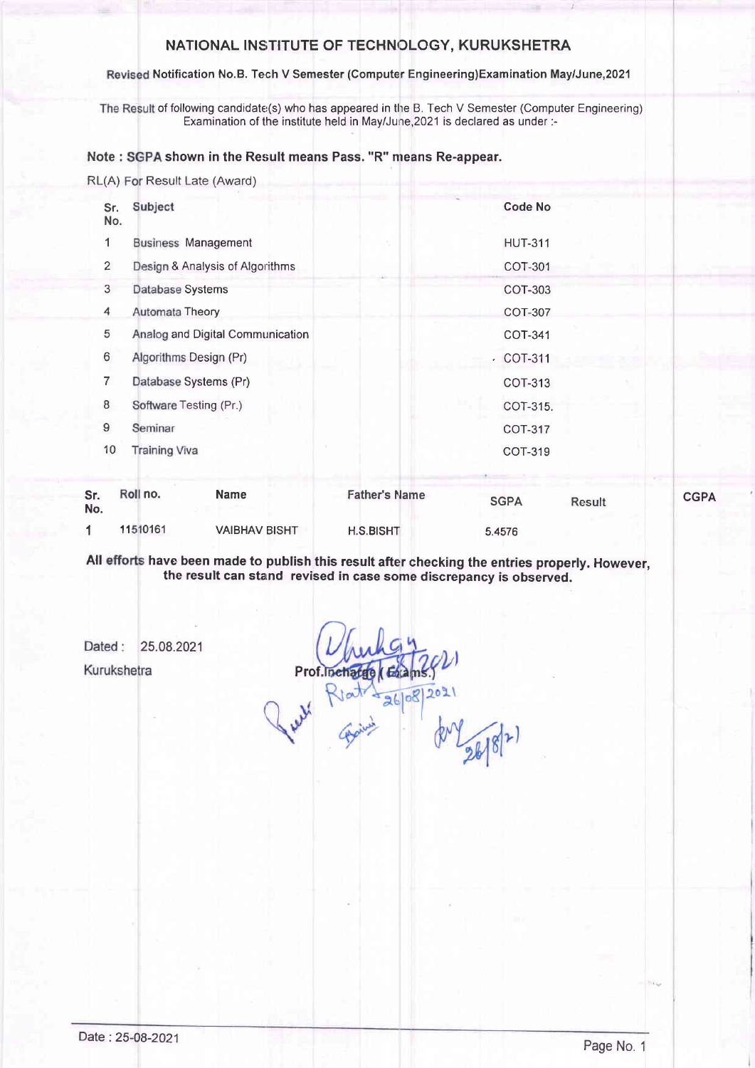### NATIONAL INSTITUTE OF TECHNOLOGY, KURUKSHETRA

#### Revised Notification No.B. Tech V Semester (Computer Engineering)Examination May/June,2021

The Result of following candidate(s) who has appeared in the B. Tech V Semester (Computer Engineering) Examination of the institute held in May/June, 2021 is declared as under :-

#### Note : SGPA shown in the Result means Pass. "R" means Re-appear.

RL(A) For Result Late (Award)

| Sr.<br>No.     | Subject                          | <b>Code No</b>  |
|----------------|----------------------------------|-----------------|
| 1              | <b>Business Management</b>       | <b>HUT-311</b>  |
| $\overline{2}$ | Design & Analysis of Algorithms  | COT-301         |
| 3              | Database Systems                 | COT-303         |
| 4              | Automata Theory                  | <b>COT-307</b>  |
| 5              | Analog and Digital Communication | COT-341         |
| 6              | Algorithms Design (Pr)           | $\cdot$ COT-311 |
| 7              | Database Systems (Pr)            | COT-313         |
| 8              | Software Testing (Pr.)           | COT-315.        |
| 9              | Seminar                          | <b>COT-317</b>  |
| 10             | <b>Training Viva</b>             | <b>COT-319</b>  |
|                | <b>PS . 12</b>                   |                 |

| Sr.<br>No. | Roll no. | Name                 | <b>Father's Name</b> | <b>SGPA</b> | <b>Result</b> | <b>CGPA</b> |
|------------|----------|----------------------|----------------------|-------------|---------------|-------------|
|            | 11510161 | <b>VAIBHAV BISHT</b> | <b>H.S.BISHT</b>     | 5.4576      |               |             |

All efforts have been made to publish this result after checking the entries properly. However, the result can starnd revised in case some discrepancy is observed.

Dated: 25.08.2021

Kurukshetra

Prof.'  $26|08|$  $2021$ 

 $2618$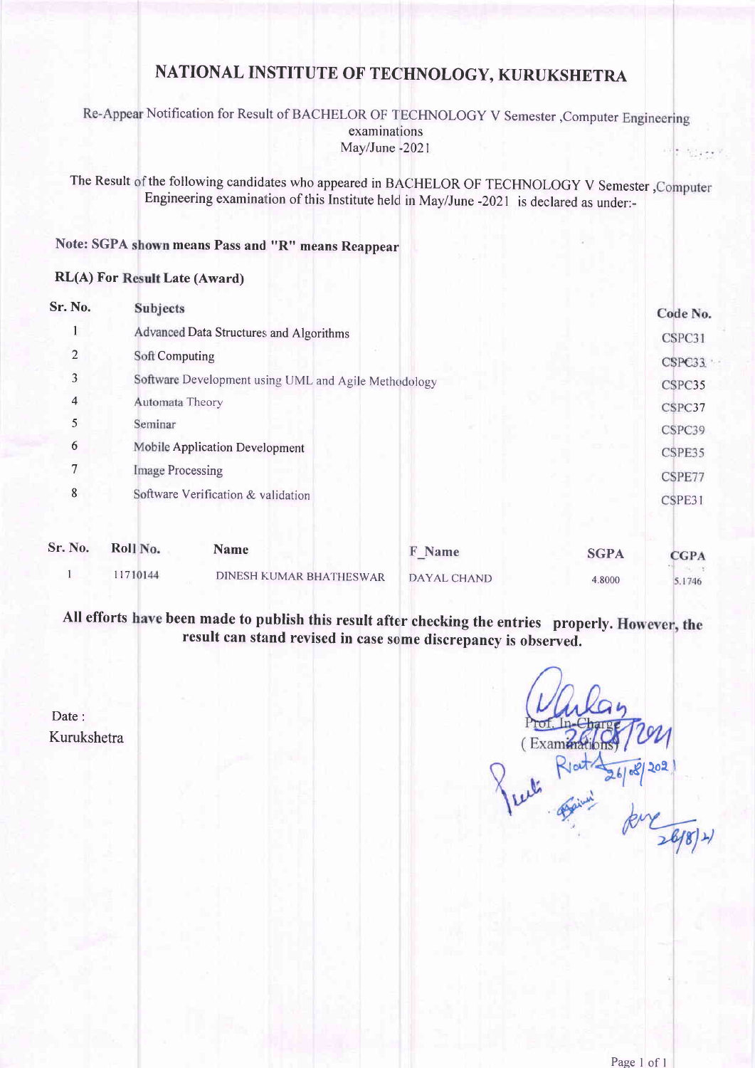# NATIONAL INSTITUTE OF TECHNOLOGY, KURUKSHETRA

#### Re-Appear Notification for Result of BACHELOR OF TECHNOLOGY V Semester, Computer Engineering examinations MaylJune -2021  $\frac{1}{2}$  (  $2.000$  )

The Result of the following candidates who appeared in BACHELOR OF TECHNOLOGY V Semester Engineering examination of this Institute held in May/June -2021 is declared as under:-

# Note: SGPA shown means Pass and "R" means Reappear

#### RL(A) For Result Late (Award)

| Sr. No.        | <b>Subjects</b>                                      | Code No. |
|----------------|------------------------------------------------------|----------|
|                | Advanced Data Structures and Algorithms              | CSPC31   |
| $\overline{2}$ | Soft Computing                                       | CSPC33   |
| 3              | Software Development using UML and Agile Methodology | CSPC35   |
| $\overline{4}$ | Automata Theory                                      | CSPC37   |
| 5              | Seminar                                              | CSPC39   |
| 6              | Mobile Application Development                       | CSPE35   |
| 7              | <b>Image Processing</b>                              | CSPE77   |
| 8              | Software Verification & validation                   | CSPE31   |

| Sr. No. | Roll No. | Name                    | <b>F</b> Name | <b>SGPA</b> | <b>CGPA</b> |
|---------|----------|-------------------------|---------------|-------------|-------------|
|         | 11710144 | DINESH KUMAR BHATHESWAR | DAYAL CHAND   | 4.8000      | 5.1746      |

All efforts have been made to publish this result after checking the entries properly result can stand revised in case some discrepancy is observed.

 $(Exam<sub>4</sub>)$ <u>8) 505</u>

Date: Kurukshetra

 $26/8/4$